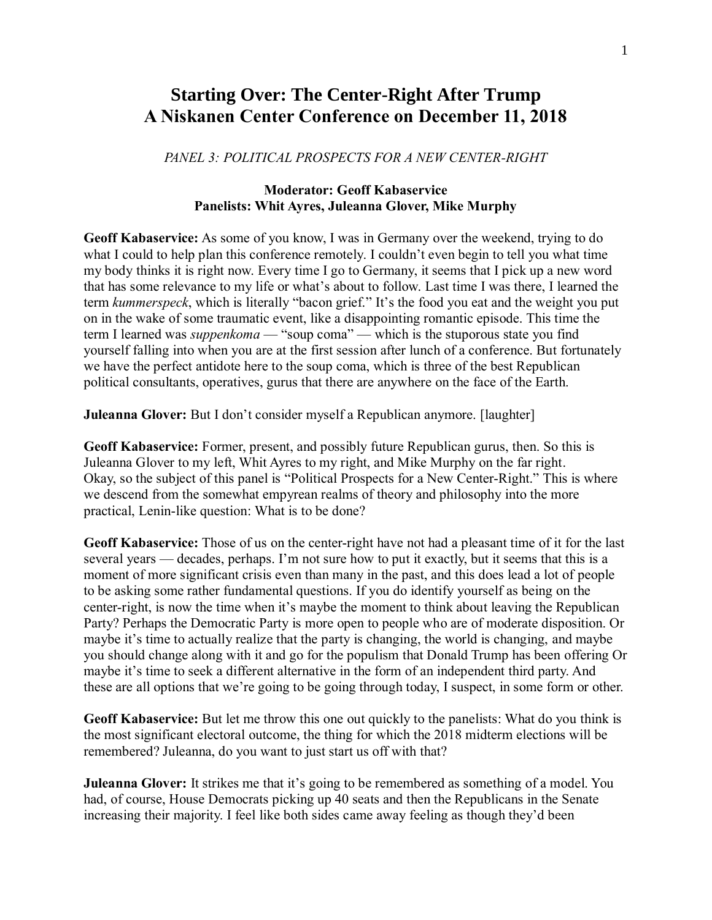# **Starting Over: The Center-Right After Trump A Niskanen Center Conference on December 11, 2018**

*PANEL 3: POLITICAL PROSPECTS FOR A NEW CENTER-RIGHT*

### **Moderator: Geoff Kabaservice Panelists: Whit Ayres, Juleanna Glover, Mike Murphy**

**Geoff Kabaservice:** As some of you know, I was in Germany over the weekend, trying to do what I could to help plan this conference remotely. I couldn't even begin to tell you what time my body thinks it is right now. Every time I go to Germany, it seems that I pick up a new word that has some relevance to my life or what's about to follow. Last time I was there, I learned the term *kummerspeck*, which is literally "bacon grief." It's the food you eat and the weight you put on in the wake of some traumatic event, like a disappointing romantic episode. This time the term I learned was *suppenkoma* — "soup coma" — which is the stuporous state you find yourself falling into when you are at the first session after lunch of a conference. But fortunately we have the perfect antidote here to the soup coma, which is three of the best Republican political consultants, operatives, gurus that there are anywhere on the face of the Earth.

**Juleanna Glover:** But I don't consider myself a Republican anymore. [laughter]

**Geoff Kabaservice:** Former, present, and possibly future Republican gurus, then. So this is Juleanna Glover to my left, Whit Ayres to my right, and Mike Murphy on the far right. Okay, so the subject of this panel is "Political Prospects for a New Center-Right." This is where we descend from the somewhat empyrean realms of theory and philosophy into the more practical, Lenin-like question: What is to be done?

**Geoff Kabaservice:** Those of us on the center-right have not had a pleasant time of it for the last several years — decades, perhaps. I'm not sure how to put it exactly, but it seems that this is a moment of more significant crisis even than many in the past, and this does lead a lot of people to be asking some rather fundamental questions. If you do identify yourself as being on the center-right, is now the time when it's maybe the moment to think about leaving the Republican Party? Perhaps the Democratic Party is more open to people who are of moderate disposition. Or maybe it's time to actually realize that the party is changing, the world is changing, and maybe you should change along with it and go for the populism that Donald Trump has been offering Or maybe it's time to seek a different alternative in the form of an independent third party. And these are all options that we're going to be going through today, I suspect, in some form or other.

**Geoff Kabaservice:** But let me throw this one out quickly to the panelists: What do you think is the most significant electoral outcome, the thing for which the 2018 midterm elections will be remembered? Juleanna, do you want to just start us off with that?

**Juleanna Glover:** It strikes me that it's going to be remembered as something of a model. You had, of course, House Democrats picking up 40 seats and then the Republicans in the Senate increasing their majority. I feel like both sides came away feeling as though they'd been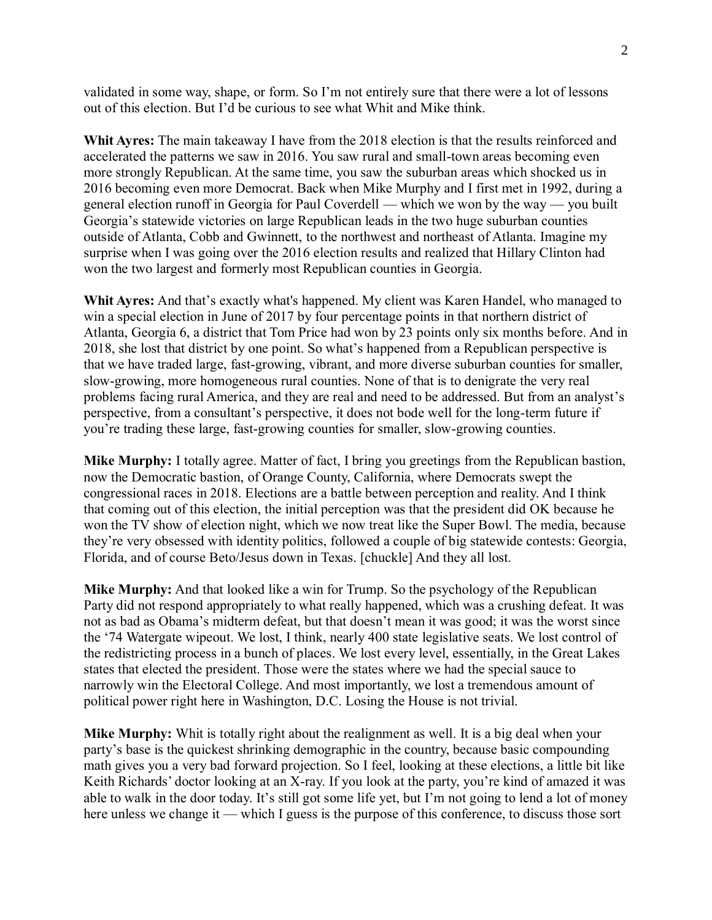validated in some way, shape, or form. So I'm not entirely sure that there were a lot of lessons out of this election. But I'd be curious to see what Whit and Mike think.

**Whit Ayres:** The main takeaway I have from the 2018 election is that the results reinforced and accelerated the patterns we saw in 2016. You saw rural and small-town areas becoming even more strongly Republican. At the same time, you saw the suburban areas which shocked us in 2016 becoming even more Democrat. Back when Mike Murphy and I first met in 1992, during a general election runoff in Georgia for Paul Coverdell — which we won by the way — you built Georgia's statewide victories on large Republican leads in the two huge suburban counties outside of Atlanta, Cobb and Gwinnett, to the northwest and northeast of Atlanta. Imagine my surprise when I was going over the 2016 election results and realized that Hillary Clinton had won the two largest and formerly most Republican counties in Georgia.

**Whit Ayres:** And that's exactly what's happened. My client was Karen Handel, who managed to win a special election in June of 2017 by four percentage points in that northern district of Atlanta, Georgia 6, a district that Tom Price had won by 23 points only six months before. And in 2018, she lost that district by one point. So what's happened from a Republican perspective is that we have traded large, fast-growing, vibrant, and more diverse suburban counties for smaller, slow-growing, more homogeneous rural counties. None of that is to denigrate the very real problems facing rural America, and they are real and need to be addressed. But from an analyst's perspective, from a consultant's perspective, it does not bode well for the long-term future if you're trading these large, fast-growing counties for smaller, slow-growing counties.

**Mike Murphy:** I totally agree. Matter of fact, I bring you greetings from the Republican bastion, now the Democratic bastion, of Orange County, California, where Democrats swept the congressional races in 2018. Elections are a battle between perception and reality. And I think that coming out of this election, the initial perception was that the president did OK because he won the TV show of election night, which we now treat like the Super Bowl. The media, because they're very obsessed with identity politics, followed a couple of big statewide contests: Georgia, Florida, and of course Beto/Jesus down in Texas. [chuckle] And they all lost.

**Mike Murphy:** And that looked like a win for Trump. So the psychology of the Republican Party did not respond appropriately to what really happened, which was a crushing defeat. It was not as bad as Obama's midterm defeat, but that doesn't mean it was good; it was the worst since the '74 Watergate wipeout. We lost, I think, nearly 400 state legislative seats. We lost control of the redistricting process in a bunch of places. We lost every level, essentially, in the Great Lakes states that elected the president. Those were the states where we had the special sauce to narrowly win the Electoral College. And most importantly, we lost a tremendous amount of political power right here in Washington, D.C. Losing the House is not trivial.

**Mike Murphy:** Whit is totally right about the realignment as well. It is a big deal when your party's base is the quickest shrinking demographic in the country, because basic compounding math gives you a very bad forward projection. So I feel, looking at these elections, a little bit like Keith Richards' doctor looking at an X-ray. If you look at the party, you're kind of amazed it was able to walk in the door today. It's still got some life yet, but I'm not going to lend a lot of money here unless we change it — which I guess is the purpose of this conference, to discuss those sort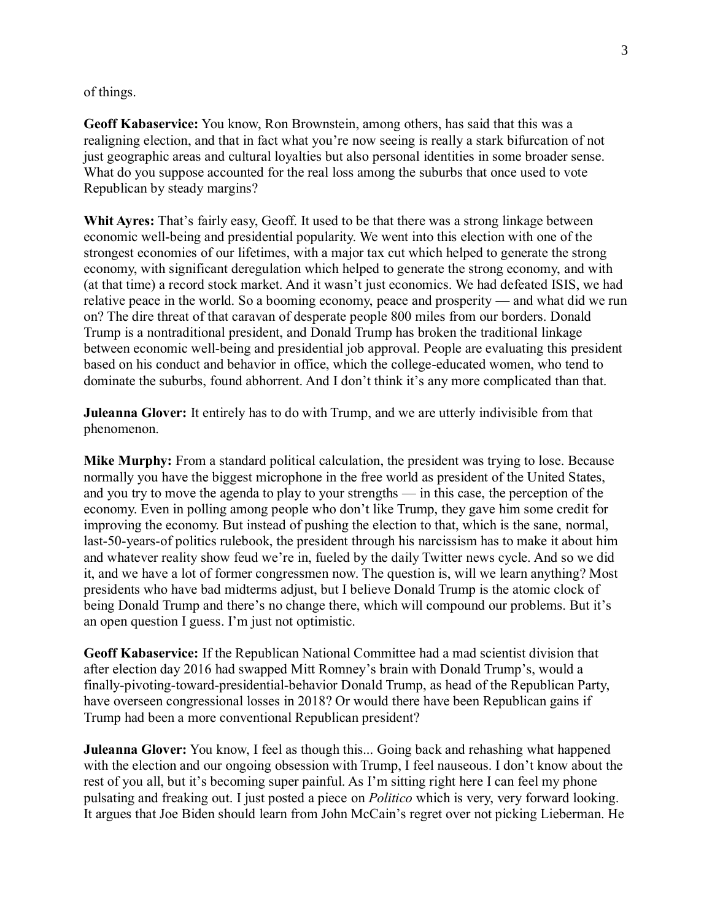of things.

**Geoff Kabaservice:** You know, Ron Brownstein, among others, has said that this was a realigning election, and that in fact what you're now seeing is really a stark bifurcation of not just geographic areas and cultural loyalties but also personal identities in some broader sense. What do you suppose accounted for the real loss among the suburbs that once used to vote Republican by steady margins?

**Whit Ayres:** That's fairly easy, Geoff. It used to be that there was a strong linkage between economic well-being and presidential popularity. We went into this election with one of the strongest economies of our lifetimes, with a major tax cut which helped to generate the strong economy, with significant deregulation which helped to generate the strong economy, and with (at that time) a record stock market. And it wasn't just economics. We had defeated ISIS, we had relative peace in the world. So a booming economy, peace and prosperity — and what did we run on? The dire threat of that caravan of desperate people 800 miles from our borders. Donald Trump is a nontraditional president, and Donald Trump has broken the traditional linkage between economic well-being and presidential job approval. People are evaluating this president based on his conduct and behavior in office, which the college-educated women, who tend to dominate the suburbs, found abhorrent. And I don't think it's any more complicated than that.

**Juleanna Glover:** It entirely has to do with Trump, and we are utterly indivisible from that phenomenon.

**Mike Murphy:** From a standard political calculation, the president was trying to lose. Because normally you have the biggest microphone in the free world as president of the United States, and you try to move the agenda to play to your strengths — in this case, the perception of the economy. Even in polling among people who don't like Trump, they gave him some credit for improving the economy. But instead of pushing the election to that, which is the sane, normal, last-50-years-of politics rulebook, the president through his narcissism has to make it about him and whatever reality show feud we're in, fueled by the daily Twitter news cycle. And so we did it, and we have a lot of former congressmen now. The question is, will we learn anything? Most presidents who have bad midterms adjust, but I believe Donald Trump is the atomic clock of being Donald Trump and there's no change there, which will compound our problems. But it's an open question I guess. I'm just not optimistic.

**Geoff Kabaservice:** If the Republican National Committee had a mad scientist division that after election day 2016 had swapped Mitt Romney's brain with Donald Trump's, would a finally-pivoting-toward-presidential-behavior Donald Trump, as head of the Republican Party, have overseen congressional losses in 2018? Or would there have been Republican gains if Trump had been a more conventional Republican president?

**Juleanna Glover:** You know, I feel as though this... Going back and rehashing what happened with the election and our ongoing obsession with Trump, I feel nauseous. I don't know about the rest of you all, but it's becoming super painful. As I'm sitting right here I can feel my phone pulsating and freaking out. I just posted a piece on *Politico* which is very, very forward looking. It argues that Joe Biden should learn from John McCain's regret over not picking Lieberman. He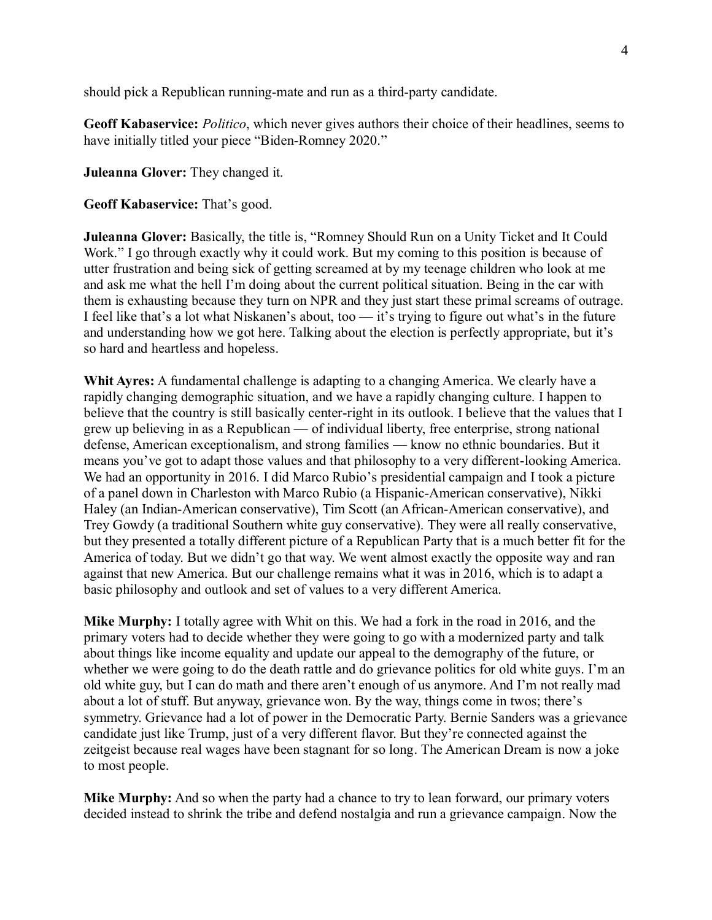should pick a Republican running-mate and run as a third-party candidate.

**Geoff Kabaservice:** *Politico*, which never gives authors their choice of their headlines, seems to have initially titled your piece "Biden-Romney 2020."

**Juleanna Glover:** They changed it.

**Geoff Kabaservice:** That's good.

**Juleanna Glover:** Basically, the title is, "Romney Should Run on a Unity Ticket and It Could Work." I go through exactly why it could work. But my coming to this position is because of utter frustration and being sick of getting screamed at by my teenage children who look at me and ask me what the hell I'm doing about the current political situation. Being in the car with them is exhausting because they turn on NPR and they just start these primal screams of outrage. I feel like that's a lot what Niskanen's about, too — it's trying to figure out what's in the future and understanding how we got here. Talking about the election is perfectly appropriate, but it's so hard and heartless and hopeless.

**Whit Ayres:** A fundamental challenge is adapting to a changing America. We clearly have a rapidly changing demographic situation, and we have a rapidly changing culture. I happen to believe that the country is still basically center-right in its outlook. I believe that the values that I grew up believing in as a Republican — of individual liberty, free enterprise, strong national defense, American exceptionalism, and strong families — know no ethnic boundaries. But it means you've got to adapt those values and that philosophy to a very different-looking America. We had an opportunity in 2016. I did Marco Rubio's presidential campaign and I took a picture of a panel down in Charleston with Marco Rubio (a Hispanic-American conservative), Nikki Haley (an Indian-American conservative), Tim Scott (an African-American conservative), and Trey Gowdy (a traditional Southern white guy conservative). They were all really conservative, but they presented a totally different picture of a Republican Party that is a much better fit for the America of today. But we didn't go that way. We went almost exactly the opposite way and ran against that new America. But our challenge remains what it was in 2016, which is to adapt a basic philosophy and outlook and set of values to a very different America.

**Mike Murphy:** I totally agree with Whit on this. We had a fork in the road in 2016, and the primary voters had to decide whether they were going to go with a modernized party and talk about things like income equality and update our appeal to the demography of the future, or whether we were going to do the death rattle and do grievance politics for old white guys. I'm an old white guy, but I can do math and there aren't enough of us anymore. And I'm not really mad about a lot of stuff. But anyway, grievance won. By the way, things come in twos; there's symmetry. Grievance had a lot of power in the Democratic Party. Bernie Sanders was a grievance candidate just like Trump, just of a very different flavor. But they're connected against the zeitgeist because real wages have been stagnant for so long. The American Dream is now a joke to most people.

**Mike Murphy:** And so when the party had a chance to try to lean forward, our primary voters decided instead to shrink the tribe and defend nostalgia and run a grievance campaign. Now the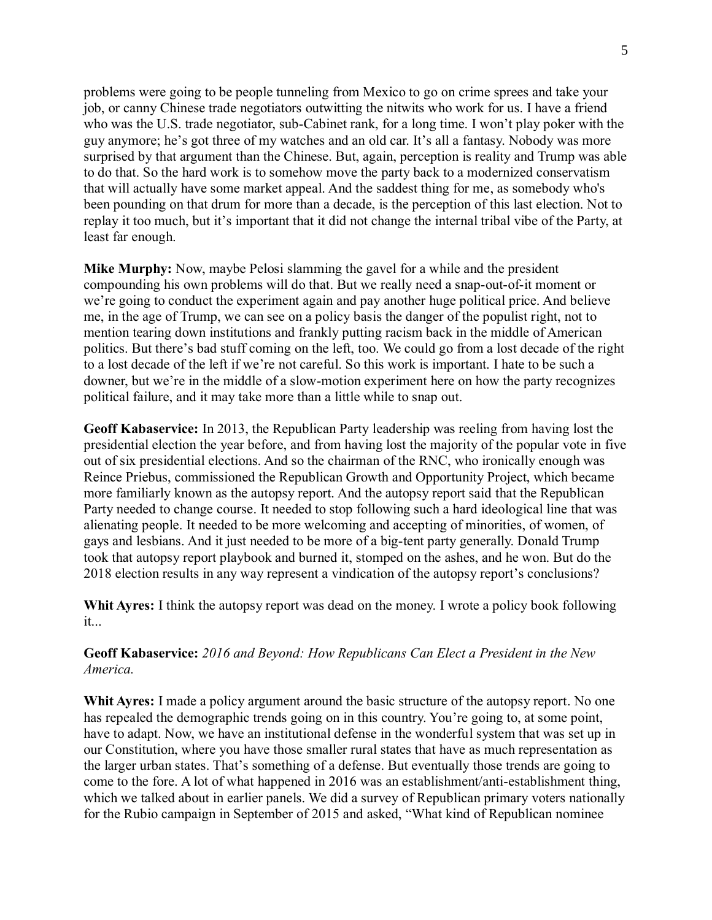problems were going to be people tunneling from Mexico to go on crime sprees and take your job, or canny Chinese trade negotiators outwitting the nitwits who work for us. I have a friend who was the U.S. trade negotiator, sub-Cabinet rank, for a long time. I won't play poker with the guy anymore; he's got three of my watches and an old car. It's all a fantasy. Nobody was more surprised by that argument than the Chinese. But, again, perception is reality and Trump was able to do that. So the hard work is to somehow move the party back to a modernized conservatism that will actually have some market appeal. And the saddest thing for me, as somebody who's been pounding on that drum for more than a decade, is the perception of this last election. Not to replay it too much, but it's important that it did not change the internal tribal vibe of the Party, at least far enough.

**Mike Murphy:** Now, maybe Pelosi slamming the gavel for a while and the president compounding his own problems will do that. But we really need a snap-out-of-it moment or we're going to conduct the experiment again and pay another huge political price. And believe me, in the age of Trump, we can see on a policy basis the danger of the populist right, not to mention tearing down institutions and frankly putting racism back in the middle of American politics. But there's bad stuff coming on the left, too. We could go from a lost decade of the right to a lost decade of the left if we're not careful. So this work is important. I hate to be such a downer, but we're in the middle of a slow-motion experiment here on how the party recognizes political failure, and it may take more than a little while to snap out.

**Geoff Kabaservice:** In 2013, the Republican Party leadership was reeling from having lost the presidential election the year before, and from having lost the majority of the popular vote in five out of six presidential elections. And so the chairman of the RNC, who ironically enough was Reince Priebus, commissioned the Republican Growth and Opportunity Project, which became more familiarly known as the autopsy report. And the autopsy report said that the Republican Party needed to change course. It needed to stop following such a hard ideological line that was alienating people. It needed to be more welcoming and accepting of minorities, of women, of gays and lesbians. And it just needed to be more of a big-tent party generally. Donald Trump took that autopsy report playbook and burned it, stomped on the ashes, and he won. But do the 2018 election results in any way represent a vindication of the autopsy report's conclusions?

**Whit Ayres:** I think the autopsy report was dead on the money. I wrote a policy book following it...

**Geoff Kabaservice:** *2016 and Beyond: How Republicans Can Elect a President in the New America.*

**Whit Ayres:** I made a policy argument around the basic structure of the autopsy report. No one has repealed the demographic trends going on in this country. You're going to, at some point, have to adapt. Now, we have an institutional defense in the wonderful system that was set up in our Constitution, where you have those smaller rural states that have as much representation as the larger urban states. That's something of a defense. But eventually those trends are going to come to the fore. A lot of what happened in 2016 was an establishment/anti-establishment thing, which we talked about in earlier panels. We did a survey of Republican primary voters nationally for the Rubio campaign in September of 2015 and asked, "What kind of Republican nominee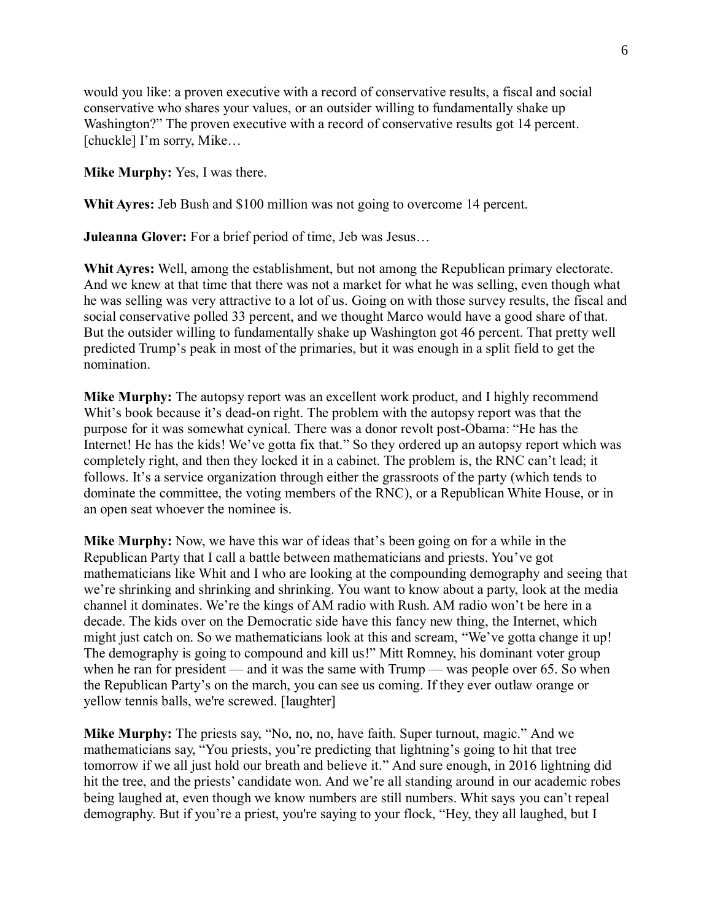would you like: a proven executive with a record of conservative results, a fiscal and social conservative who shares your values, or an outsider willing to fundamentally shake up Washington?" The proven executive with a record of conservative results got 14 percent. [chuckle] I'm sorry, Mike...

**Mike Murphy:** Yes, I was there.

**Whit Ayres:** Jeb Bush and \$100 million was not going to overcome 14 percent.

**Juleanna Glover:** For a brief period of time, Jeb was Jesus...

**Whit Ayres:** Well, among the establishment, but not among the Republican primary electorate. And we knew at that time that there was not a market for what he was selling, even though what he was selling was very attractive to a lot of us. Going on with those survey results, the fiscal and social conservative polled 33 percent, and we thought Marco would have a good share of that. But the outsider willing to fundamentally shake up Washington got 46 percent. That pretty well predicted Trump's peak in most of the primaries, but it was enough in a split field to get the nomination.

**Mike Murphy:** The autopsy report was an excellent work product, and I highly recommend Whit's book because it's dead-on right. The problem with the autopsy report was that the purpose for it was somewhat cynical. There was a donor revolt post-Obama: "He has the Internet! He has the kids! We've gotta fix that." So they ordered up an autopsy report which was completely right, and then they locked it in a cabinet. The problem is, the RNC can't lead; it follows. It's a service organization through either the grassroots of the party (which tends to dominate the committee, the voting members of the RNC), or a Republican White House, or in an open seat whoever the nominee is.

**Mike Murphy:** Now, we have this war of ideas that's been going on for a while in the Republican Party that I call a battle between mathematicians and priests. You've got mathematicians like Whit and I who are looking at the compounding demography and seeing that we're shrinking and shrinking and shrinking. You want to know about a party, look at the media channel it dominates. We're the kings of AM radio with Rush. AM radio won't be here in a decade. The kids over on the Democratic side have this fancy new thing, the Internet, which might just catch on. So we mathematicians look at this and scream, "We've gotta change it up! The demography is going to compound and kill us!" Mitt Romney, his dominant voter group when he ran for president — and it was the same with  $Trump$  — was people over 65. So when the Republican Party's on the march, you can see us coming. If they ever outlaw orange or yellow tennis balls, we're screwed. [laughter]

**Mike Murphy:** The priests say, "No, no, no, have faith. Super turnout, magic." And we mathematicians say, "You priests, you're predicting that lightning's going to hit that tree tomorrow if we all just hold our breath and believe it." And sure enough, in 2016 lightning did hit the tree, and the priests' candidate won. And we're all standing around in our academic robes being laughed at, even though we know numbers are still numbers. Whit says you can't repeal demography. But if you're a priest, you're saying to your flock, "Hey, they all laughed, but I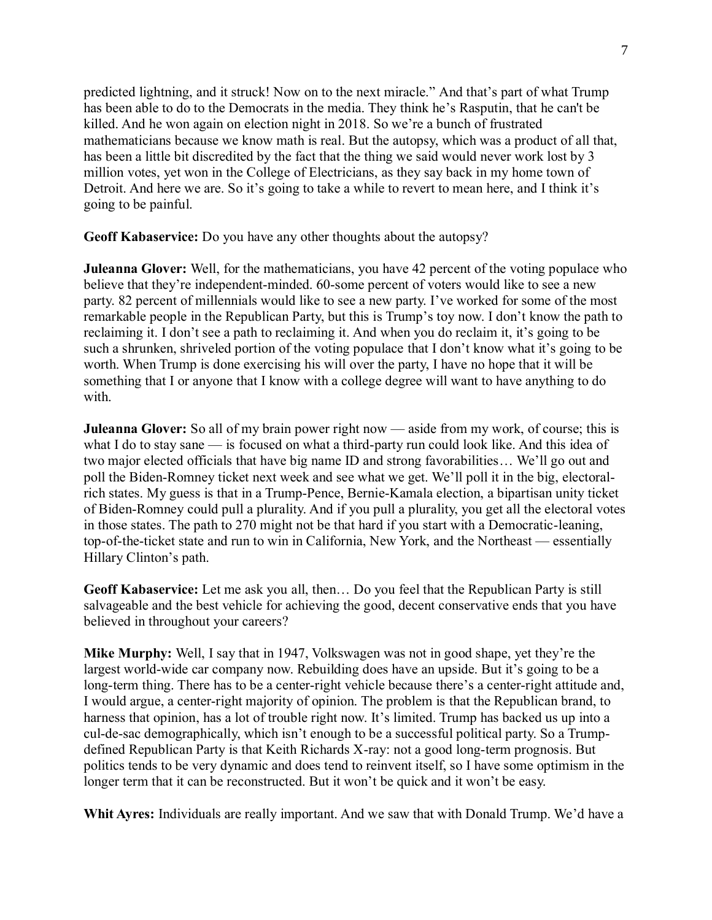predicted lightning, and it struck! Now on to the next miracle." And that's part of what Trump has been able to do to the Democrats in the media. They think he's Rasputin, that he can't be killed. And he won again on election night in 2018. So we're a bunch of frustrated mathematicians because we know math is real. But the autopsy, which was a product of all that, has been a little bit discredited by the fact that the thing we said would never work lost by 3 million votes, yet won in the College of Electricians, as they say back in my home town of Detroit. And here we are. So it's going to take a while to revert to mean here, and I think it's going to be painful.

**Geoff Kabaservice:** Do you have any other thoughts about the autopsy?

**Juleanna Glover:** Well, for the mathematicians, you have 42 percent of the voting populace who believe that they're independent-minded. 60-some percent of voters would like to see a new party. 82 percent of millennials would like to see a new party. I've worked for some of the most remarkable people in the Republican Party, but this is Trump's toy now. I don't know the path to reclaiming it. I don't see a path to reclaiming it. And when you do reclaim it, it's going to be such a shrunken, shriveled portion of the voting populace that I don't know what it's going to be worth. When Trump is done exercising his will over the party, I have no hope that it will be something that I or anyone that I know with a college degree will want to have anything to do with.

**Juleanna Glover:** So all of my brain power right now — aside from my work, of course; this is what I do to stay sane — is focused on what a third-party run could look like. And this idea of two major elected officials that have big name ID and strong favorabilities… We'll go out and poll the Biden-Romney ticket next week and see what we get. We'll poll it in the big, electoralrich states. My guess is that in a Trump-Pence, Bernie-Kamala election, a bipartisan unity ticket of Biden-Romney could pull a plurality. And if you pull a plurality, you get all the electoral votes in those states. The path to 270 might not be that hard if you start with a Democratic-leaning, top-of-the-ticket state and run to win in California, New York, and the Northeast — essentially Hillary Clinton's path.

**Geoff Kabaservice:** Let me ask you all, then… Do you feel that the Republican Party is still salvageable and the best vehicle for achieving the good, decent conservative ends that you have believed in throughout your careers?

**Mike Murphy:** Well, I say that in 1947, Volkswagen was not in good shape, yet they're the largest world-wide car company now. Rebuilding does have an upside. But it's going to be a long-term thing. There has to be a center-right vehicle because there's a center-right attitude and, I would argue, a center-right majority of opinion. The problem is that the Republican brand, to harness that opinion, has a lot of trouble right now. It's limited. Trump has backed us up into a cul-de-sac demographically, which isn't enough to be a successful political party. So a Trumpdefined Republican Party is that Keith Richards X-ray: not a good long-term prognosis. But politics tends to be very dynamic and does tend to reinvent itself, so I have some optimism in the longer term that it can be reconstructed. But it won't be quick and it won't be easy.

**Whit Ayres:** Individuals are really important. And we saw that with Donald Trump. We'd have a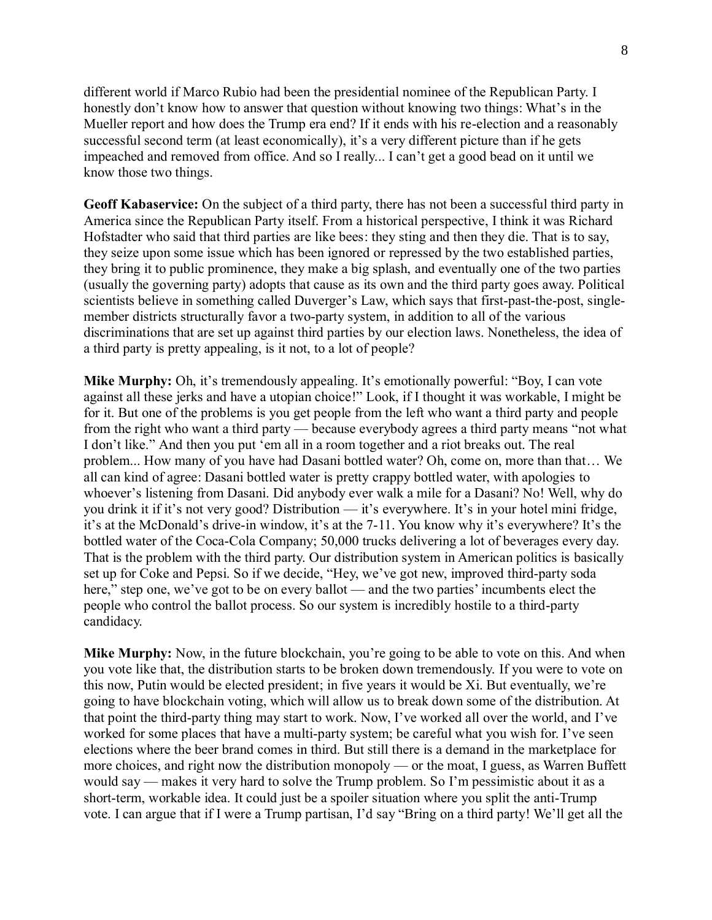different world if Marco Rubio had been the presidential nominee of the Republican Party. I honestly don't know how to answer that question without knowing two things: What's in the Mueller report and how does the Trump era end? If it ends with his re-election and a reasonably successful second term (at least economically), it's a very different picture than if he gets impeached and removed from office. And so I really... I can't get a good bead on it until we know those two things.

**Geoff Kabaservice:** On the subject of a third party, there has not been a successful third party in America since the Republican Party itself. From a historical perspective, I think it was Richard Hofstadter who said that third parties are like bees: they sting and then they die. That is to say, they seize upon some issue which has been ignored or repressed by the two established parties, they bring it to public prominence, they make a big splash, and eventually one of the two parties (usually the governing party) adopts that cause as its own and the third party goes away. Political scientists believe in something called Duverger's Law, which says that first-past-the-post, singlemember districts structurally favor a two-party system, in addition to all of the various discriminations that are set up against third parties by our election laws. Nonetheless, the idea of a third party is pretty appealing, is it not, to a lot of people?

**Mike Murphy:** Oh, it's tremendously appealing. It's emotionally powerful: "Boy, I can vote against all these jerks and have a utopian choice!" Look, if I thought it was workable, I might be for it. But one of the problems is you get people from the left who want a third party and people from the right who want a third party — because everybody agrees a third party means "not what I don't like." And then you put 'em all in a room together and a riot breaks out. The real problem... How many of you have had Dasani bottled water? Oh, come on, more than that… We all can kind of agree: Dasani bottled water is pretty crappy bottled water, with apologies to whoever's listening from Dasani. Did anybody ever walk a mile for a Dasani? No! Well, why do you drink it if it's not very good? Distribution — it's everywhere. It's in your hotel mini fridge, it's at the McDonald's drive-in window, it's at the 7-11. You know why it's everywhere? It's the bottled water of the Coca-Cola Company; 50,000 trucks delivering a lot of beverages every day. That is the problem with the third party. Our distribution system in American politics is basically set up for Coke and Pepsi. So if we decide, "Hey, we've got new, improved third-party soda here," step one, we've got to be on every ballot — and the two parties' incumbents elect the people who control the ballot process. So our system is incredibly hostile to a third-party candidacy.

**Mike Murphy:** Now, in the future blockchain, you're going to be able to vote on this. And when you vote like that, the distribution starts to be broken down tremendously. If you were to vote on this now, Putin would be elected president; in five years it would be Xi. But eventually, we're going to have blockchain voting, which will allow us to break down some of the distribution. At that point the third-party thing may start to work. Now, I've worked all over the world, and I've worked for some places that have a multi-party system; be careful what you wish for. I've seen elections where the beer brand comes in third. But still there is a demand in the marketplace for more choices, and right now the distribution monopoly — or the moat, I guess, as Warren Buffett would say — makes it very hard to solve the Trump problem. So I'm pessimistic about it as a short-term, workable idea. It could just be a spoiler situation where you split the anti-Trump vote. I can argue that if I were a Trump partisan, I'd say "Bring on a third party! We'll get all the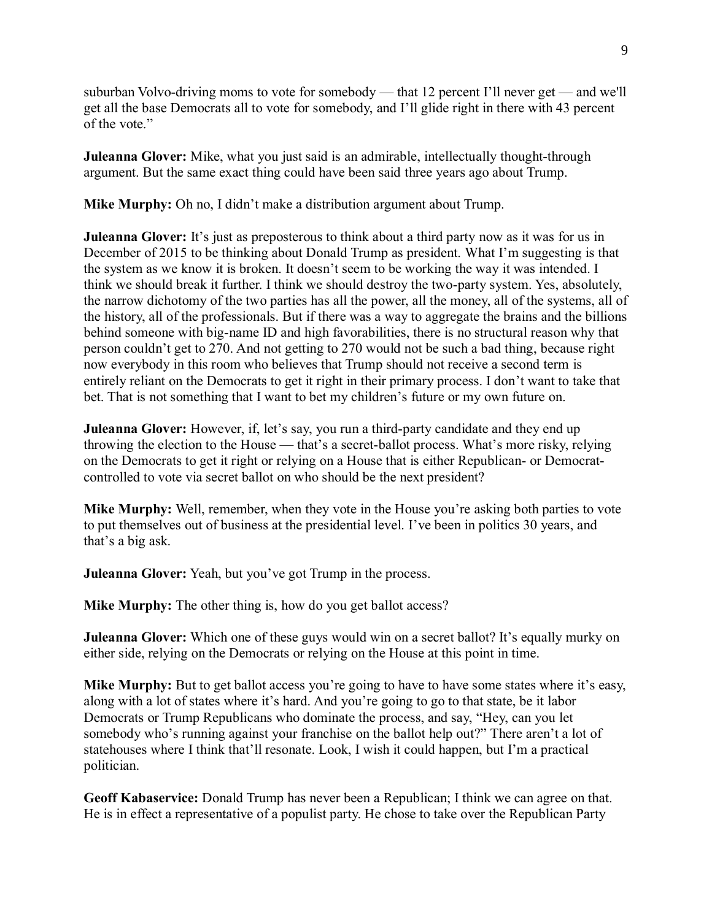suburban Volvo-driving moms to vote for somebody — that 12 percent I'll never get — and we'll get all the base Democrats all to vote for somebody, and I'll glide right in there with 43 percent of the vote."

**Juleanna Glover:** Mike, what you just said is an admirable, intellectually thought-through argument. But the same exact thing could have been said three years ago about Trump.

**Mike Murphy:** Oh no, I didn't make a distribution argument about Trump.

**Juleanna Glover:** It's just as preposterous to think about a third party now as it was for us in December of 2015 to be thinking about Donald Trump as president. What I'm suggesting is that the system as we know it is broken. It doesn't seem to be working the way it was intended. I think we should break it further. I think we should destroy the two-party system. Yes, absolutely, the narrow dichotomy of the two parties has all the power, all the money, all of the systems, all of the history, all of the professionals. But if there was a way to aggregate the brains and the billions behind someone with big-name ID and high favorabilities, there is no structural reason why that person couldn't get to 270. And not getting to 270 would not be such a bad thing, because right now everybody in this room who believes that Trump should not receive a second term is entirely reliant on the Democrats to get it right in their primary process. I don't want to take that bet. That is not something that I want to bet my children's future or my own future on.

**Juleanna Glover:** However, if, let's say, you run a third-party candidate and they end up throwing the election to the House — that's a secret-ballot process. What's more risky, relying on the Democrats to get it right or relying on a House that is either Republican- or Democratcontrolled to vote via secret ballot on who should be the next president?

**Mike Murphy:** Well, remember, when they vote in the House you're asking both parties to vote to put themselves out of business at the presidential level. I've been in politics 30 years, and that's a big ask.

**Juleanna Glover:** Yeah, but you've got Trump in the process.

**Mike Murphy:** The other thing is, how do you get ballot access?

**Juleanna Glover:** Which one of these guys would win on a secret ballot? It's equally murky on either side, relying on the Democrats or relying on the House at this point in time.

**Mike Murphy:** But to get ballot access you're going to have to have some states where it's easy, along with a lot of states where it's hard. And you're going to go to that state, be it labor Democrats or Trump Republicans who dominate the process, and say, "Hey, can you let somebody who's running against your franchise on the ballot help out?" There aren't a lot of statehouses where I think that'll resonate. Look, I wish it could happen, but I'm a practical politician.

**Geoff Kabaservice:** Donald Trump has never been a Republican; I think we can agree on that. He is in effect a representative of a populist party. He chose to take over the Republican Party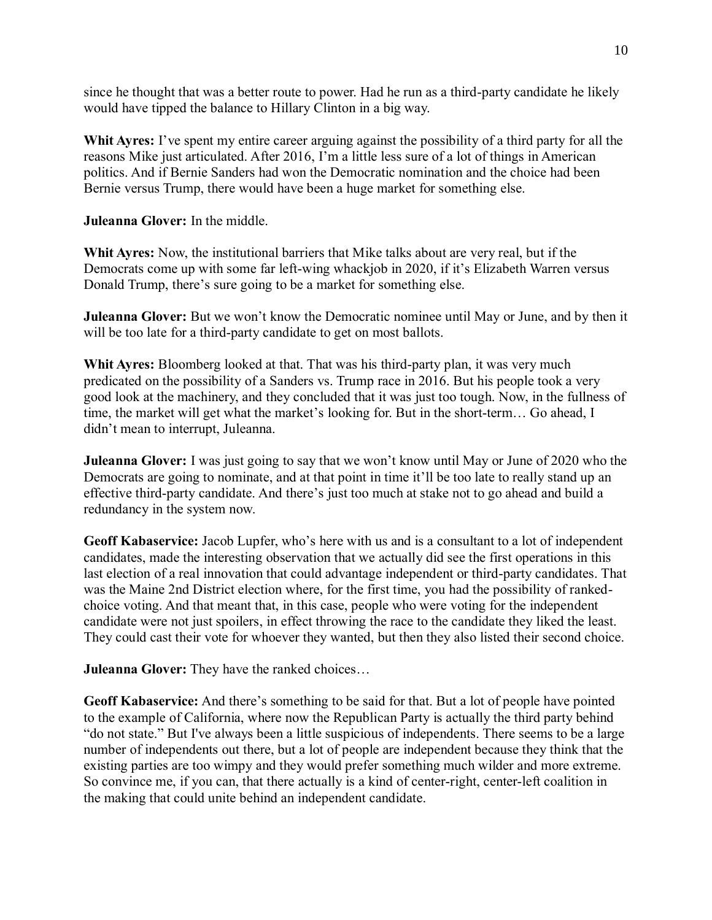since he thought that was a better route to power. Had he run as a third-party candidate he likely would have tipped the balance to Hillary Clinton in a big way.

**Whit Ayres:** I've spent my entire career arguing against the possibility of a third party for all the reasons Mike just articulated. After 2016, I'm a little less sure of a lot of things in American politics. And if Bernie Sanders had won the Democratic nomination and the choice had been Bernie versus Trump, there would have been a huge market for something else.

**Juleanna Glover:** In the middle.

**Whit Ayres:** Now, the institutional barriers that Mike talks about are very real, but if the Democrats come up with some far left-wing whackjob in 2020, if it's Elizabeth Warren versus Donald Trump, there's sure going to be a market for something else.

**Juleanna Glover:** But we won't know the Democratic nominee until May or June, and by then it will be too late for a third-party candidate to get on most ballots.

**Whit Ayres:** Bloomberg looked at that. That was his third-party plan, it was very much predicated on the possibility of a Sanders vs. Trump race in 2016. But his people took a very good look at the machinery, and they concluded that it was just too tough. Now, in the fullness of time, the market will get what the market's looking for. But in the short-term… Go ahead, I didn't mean to interrupt, Juleanna.

**Juleanna Glover:** I was just going to say that we won't know until May or June of 2020 who the Democrats are going to nominate, and at that point in time it'll be too late to really stand up an effective third-party candidate. And there's just too much at stake not to go ahead and build a redundancy in the system now.

**Geoff Kabaservice:** Jacob Lupfer, who's here with us and is a consultant to a lot of independent candidates, made the interesting observation that we actually did see the first operations in this last election of a real innovation that could advantage independent or third-party candidates. That was the Maine 2nd District election where, for the first time, you had the possibility of rankedchoice voting. And that meant that, in this case, people who were voting for the independent candidate were not just spoilers, in effect throwing the race to the candidate they liked the least. They could cast their vote for whoever they wanted, but then they also listed their second choice.

**Juleanna Glover:** They have the ranked choices…

**Geoff Kabaservice:** And there's something to be said for that. But a lot of people have pointed to the example of California, where now the Republican Party is actually the third party behind "do not state." But I've always been a little suspicious of independents. There seems to be a large number of independents out there, but a lot of people are independent because they think that the existing parties are too wimpy and they would prefer something much wilder and more extreme. So convince me, if you can, that there actually is a kind of center-right, center-left coalition in the making that could unite behind an independent candidate.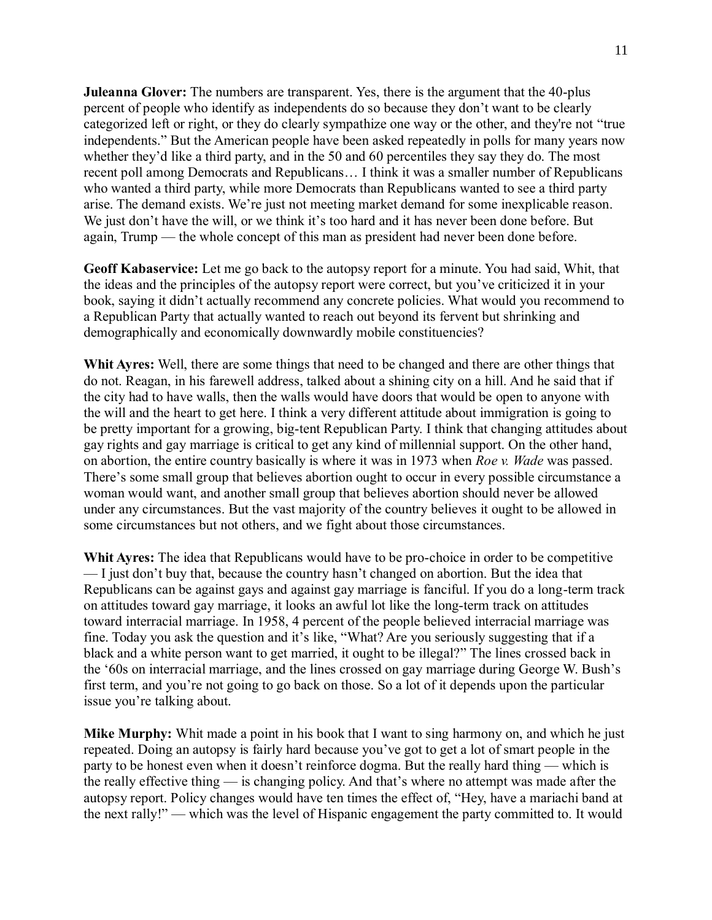**Juleanna Glover:** The numbers are transparent. Yes, there is the argument that the 40-plus percent of people who identify as independents do so because they don't want to be clearly categorized left or right, or they do clearly sympathize one way or the other, and they're not "true independents." But the American people have been asked repeatedly in polls for many years now whether they'd like a third party, and in the 50 and 60 percentiles they say they do. The most recent poll among Democrats and Republicans… I think it was a smaller number of Republicans who wanted a third party, while more Democrats than Republicans wanted to see a third party arise. The demand exists. We're just not meeting market demand for some inexplicable reason. We just don't have the will, or we think it's too hard and it has never been done before. But again, Trump — the whole concept of this man as president had never been done before.

**Geoff Kabaservice:** Let me go back to the autopsy report for a minute. You had said, Whit, that the ideas and the principles of the autopsy report were correct, but you've criticized it in your book, saying it didn't actually recommend any concrete policies. What would you recommend to a Republican Party that actually wanted to reach out beyond its fervent but shrinking and demographically and economically downwardly mobile constituencies?

**Whit Ayres:** Well, there are some things that need to be changed and there are other things that do not. Reagan, in his farewell address, talked about a shining city on a hill. And he said that if the city had to have walls, then the walls would have doors that would be open to anyone with the will and the heart to get here. I think a very different attitude about immigration is going to be pretty important for a growing, big-tent Republican Party. I think that changing attitudes about gay rights and gay marriage is critical to get any kind of millennial support. On the other hand, on abortion, the entire country basically is where it was in 1973 when *Roe v. Wade* was passed. There's some small group that believes abortion ought to occur in every possible circumstance a woman would want, and another small group that believes abortion should never be allowed under any circumstances. But the vast majority of the country believes it ought to be allowed in some circumstances but not others, and we fight about those circumstances.

**Whit Ayres:** The idea that Republicans would have to be pro-choice in order to be competitive — I just don't buy that, because the country hasn't changed on abortion. But the idea that Republicans can be against gays and against gay marriage is fanciful. If you do a long-term track on attitudes toward gay marriage, it looks an awful lot like the long-term track on attitudes toward interracial marriage. In 1958, 4 percent of the people believed interracial marriage was fine. Today you ask the question and it's like, "What? Are you seriously suggesting that if a black and a white person want to get married, it ought to be illegal?" The lines crossed back in the '60s on interracial marriage, and the lines crossed on gay marriage during George W. Bush's first term, and you're not going to go back on those. So a lot of it depends upon the particular issue you're talking about.

**Mike Murphy:** Whit made a point in his book that I want to sing harmony on, and which he just repeated. Doing an autopsy is fairly hard because you've got to get a lot of smart people in the party to be honest even when it doesn't reinforce dogma. But the really hard thing — which is the really effective thing — is changing policy. And that's where no attempt was made after the autopsy report. Policy changes would have ten times the effect of, "Hey, have a mariachi band at the next rally!" — which was the level of Hispanic engagement the party committed to. It would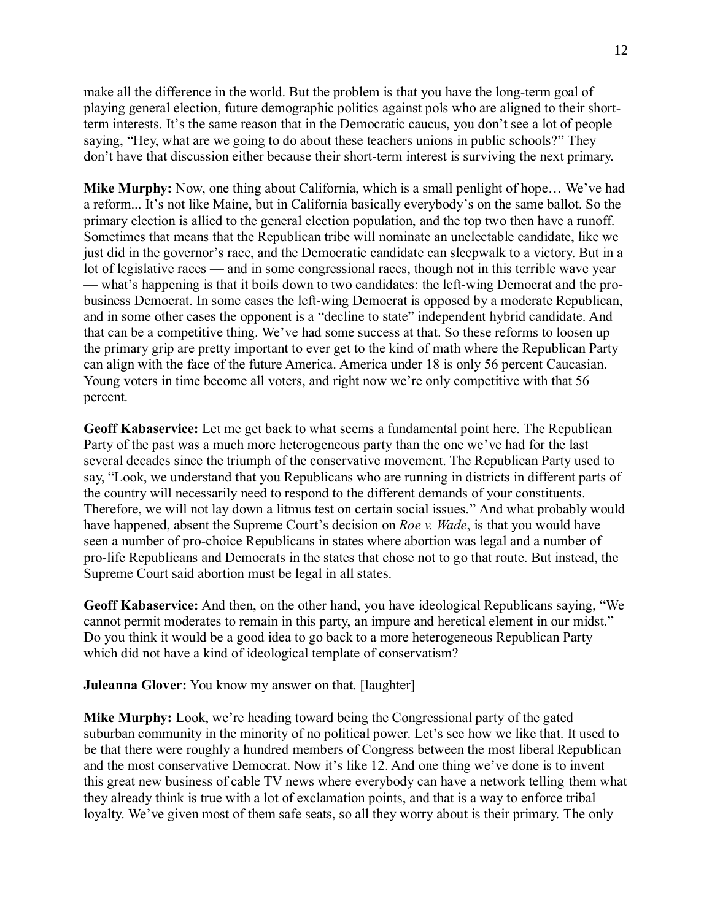make all the difference in the world. But the problem is that you have the long-term goal of playing general election, future demographic politics against pols who are aligned to their shortterm interests. It's the same reason that in the Democratic caucus, you don't see a lot of people saying, "Hey, what are we going to do about these teachers unions in public schools?" They don't have that discussion either because their short-term interest is surviving the next primary.

**Mike Murphy:** Now, one thing about California, which is a small penlight of hope… We've had a reform... It's not like Maine, but in California basically everybody's on the same ballot. So the primary election is allied to the general election population, and the top two then have a runoff. Sometimes that means that the Republican tribe will nominate an unelectable candidate, like we just did in the governor's race, and the Democratic candidate can sleepwalk to a victory. But in a lot of legislative races — and in some congressional races, though not in this terrible wave year — what's happening is that it boils down to two candidates: the left-wing Democrat and the probusiness Democrat. In some cases the left-wing Democrat is opposed by a moderate Republican, and in some other cases the opponent is a "decline to state" independent hybrid candidate. And that can be a competitive thing. We've had some success at that. So these reforms to loosen up the primary grip are pretty important to ever get to the kind of math where the Republican Party can align with the face of the future America. America under 18 is only 56 percent Caucasian. Young voters in time become all voters, and right now we're only competitive with that 56 percent.

**Geoff Kabaservice:** Let me get back to what seems a fundamental point here. The Republican Party of the past was a much more heterogeneous party than the one we've had for the last several decades since the triumph of the conservative movement. The Republican Party used to say, "Look, we understand that you Republicans who are running in districts in different parts of the country will necessarily need to respond to the different demands of your constituents. Therefore, we will not lay down a litmus test on certain social issues." And what probably would have happened, absent the Supreme Court's decision on *Roe v. Wade*, is that you would have seen a number of pro-choice Republicans in states where abortion was legal and a number of pro-life Republicans and Democrats in the states that chose not to go that route. But instead, the Supreme Court said abortion must be legal in all states.

**Geoff Kabaservice:** And then, on the other hand, you have ideological Republicans saying, "We cannot permit moderates to remain in this party, an impure and heretical element in our midst." Do you think it would be a good idea to go back to a more heterogeneous Republican Party which did not have a kind of ideological template of conservatism?

**Juleanna Glover:** You know my answer on that. [laughter]

**Mike Murphy:** Look, we're heading toward being the Congressional party of the gated suburban community in the minority of no political power. Let's see how we like that. It used to be that there were roughly a hundred members of Congress between the most liberal Republican and the most conservative Democrat. Now it's like 12. And one thing we've done is to invent this great new business of cable TV news where everybody can have a network telling them what they already think is true with a lot of exclamation points, and that is a way to enforce tribal loyalty. We've given most of them safe seats, so all they worry about is their primary. The only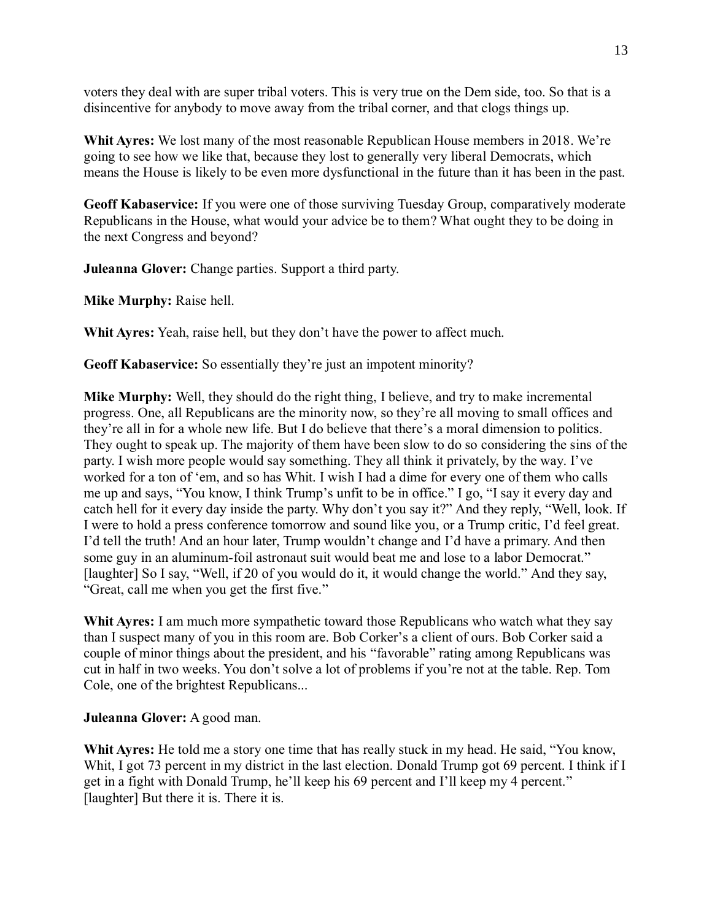voters they deal with are super tribal voters. This is very true on the Dem side, too. So that is a disincentive for anybody to move away from the tribal corner, and that clogs things up.

**Whit Ayres:** We lost many of the most reasonable Republican House members in 2018. We're going to see how we like that, because they lost to generally very liberal Democrats, which means the House is likely to be even more dysfunctional in the future than it has been in the past.

**Geoff Kabaservice:** If you were one of those surviving Tuesday Group, comparatively moderate Republicans in the House, what would your advice be to them? What ought they to be doing in the next Congress and beyond?

**Juleanna Glover:** Change parties. Support a third party.

**Mike Murphy:** Raise hell.

**Whit Ayres:** Yeah, raise hell, but they don't have the power to affect much.

**Geoff Kabaservice:** So essentially they're just an impotent minority?

**Mike Murphy:** Well, they should do the right thing, I believe, and try to make incremental progress. One, all Republicans are the minority now, so they're all moving to small offices and they're all in for a whole new life. But I do believe that there's a moral dimension to politics. They ought to speak up. The majority of them have been slow to do so considering the sins of the party. I wish more people would say something. They all think it privately, by the way. I've worked for a ton of 'em, and so has Whit. I wish I had a dime for every one of them who calls me up and says, "You know, I think Trump's unfit to be in office." I go, "I say it every day and catch hell for it every day inside the party. Why don't you say it?" And they reply, "Well, look. If I were to hold a press conference tomorrow and sound like you, or a Trump critic, I'd feel great. I'd tell the truth! And an hour later, Trump wouldn't change and I'd have a primary. And then some guy in an aluminum-foil astronaut suit would beat me and lose to a labor Democrat." [laughter] So I say, "Well, if 20 of you would do it, it would change the world." And they say, "Great, call me when you get the first five."

**Whit Ayres:** I am much more sympathetic toward those Republicans who watch what they say than I suspect many of you in this room are. Bob Corker's a client of ours. Bob Corker said a couple of minor things about the president, and his "favorable" rating among Republicans was cut in half in two weeks. You don't solve a lot of problems if you're not at the table. Rep. Tom Cole, one of the brightest Republicans...

## **Juleanna Glover:** A good man.

**Whit Ayres:** He told me a story one time that has really stuck in my head. He said, "You know, Whit, I got 73 percent in my district in the last election. Donald Trump got 69 percent. I think if I get in a fight with Donald Trump, he'll keep his 69 percent and I'll keep my 4 percent." [laughter] But there it is. There it is.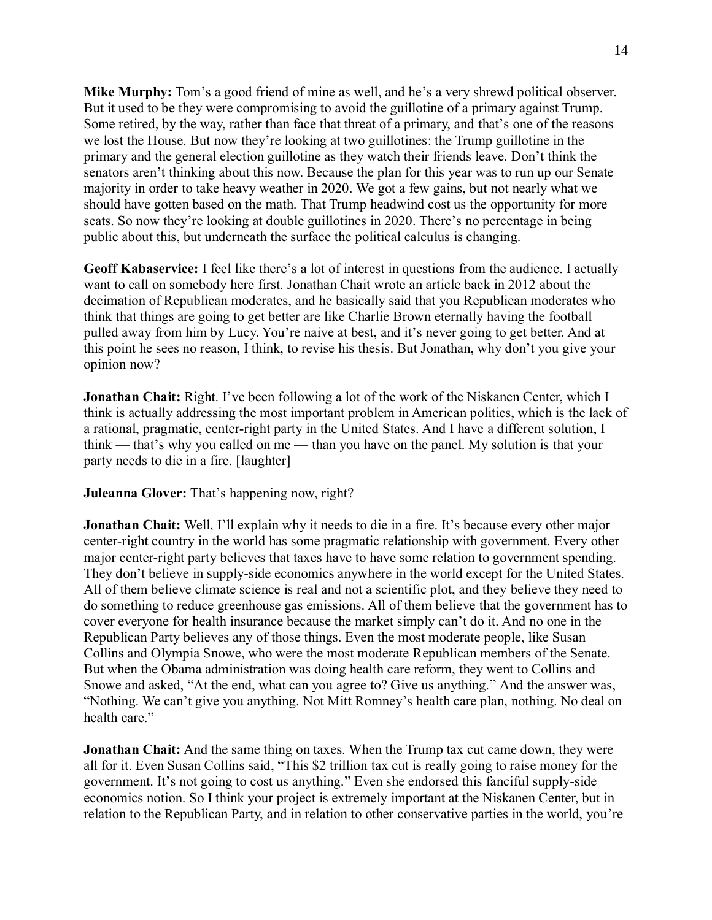**Mike Murphy:** Tom's a good friend of mine as well, and he's a very shrewd political observer. But it used to be they were compromising to avoid the guillotine of a primary against Trump. Some retired, by the way, rather than face that threat of a primary, and that's one of the reasons we lost the House. But now they're looking at two guillotines: the Trump guillotine in the primary and the general election guillotine as they watch their friends leave. Don't think the senators aren't thinking about this now. Because the plan for this year was to run up our Senate majority in order to take heavy weather in 2020. We got a few gains, but not nearly what we should have gotten based on the math. That Trump headwind cost us the opportunity for more seats. So now they're looking at double guillotines in 2020. There's no percentage in being public about this, but underneath the surface the political calculus is changing.

**Geoff Kabaservice:** I feel like there's a lot of interest in questions from the audience. I actually want to call on somebody here first. Jonathan Chait wrote an article back in 2012 about the decimation of Republican moderates, and he basically said that you Republican moderates who think that things are going to get better are like Charlie Brown eternally having the football pulled away from him by Lucy. You're naive at best, and it's never going to get better. And at this point he sees no reason, I think, to revise his thesis. But Jonathan, why don't you give your opinion now?

**Jonathan Chait:** Right. I've been following a lot of the work of the Niskanen Center, which I think is actually addressing the most important problem in American politics, which is the lack of a rational, pragmatic, center-right party in the United States. And I have a different solution, I think — that's why you called on me — than you have on the panel. My solution is that your party needs to die in a fire. [laughter]

**Juleanna Glover:** That's happening now, right?

**Jonathan Chait:** Well, I'll explain why it needs to die in a fire. It's because every other major center-right country in the world has some pragmatic relationship with government. Every other major center-right party believes that taxes have to have some relation to government spending. They don't believe in supply-side economics anywhere in the world except for the United States. All of them believe climate science is real and not a scientific plot, and they believe they need to do something to reduce greenhouse gas emissions. All of them believe that the government has to cover everyone for health insurance because the market simply can't do it. And no one in the Republican Party believes any of those things. Even the most moderate people, like Susan Collins and Olympia Snowe, who were the most moderate Republican members of the Senate. But when the Obama administration was doing health care reform, they went to Collins and Snowe and asked, "At the end, what can you agree to? Give us anything." And the answer was, "Nothing. We can't give you anything. Not Mitt Romney's health care plan, nothing. No deal on health care"

**Jonathan Chait:** And the same thing on taxes. When the Trump tax cut came down, they were all for it. Even Susan Collins said, "This \$2 trillion tax cut is really going to raise money for the government. It's not going to cost us anything." Even she endorsed this fanciful supply-side economics notion. So I think your project is extremely important at the Niskanen Center, but in relation to the Republican Party, and in relation to other conservative parties in the world, you're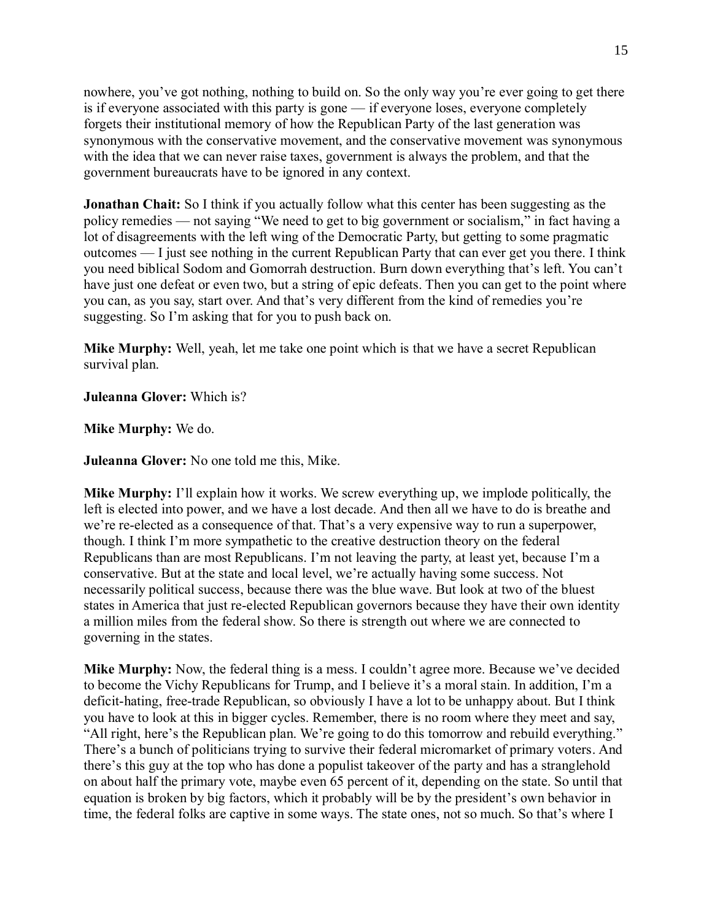nowhere, you've got nothing, nothing to build on. So the only way you're ever going to get there is if everyone associated with this party is gone — if everyone loses, everyone completely forgets their institutional memory of how the Republican Party of the last generation was synonymous with the conservative movement, and the conservative movement was synonymous with the idea that we can never raise taxes, government is always the problem, and that the government bureaucrats have to be ignored in any context.

**Jonathan Chait:** So I think if you actually follow what this center has been suggesting as the policy remedies — not saying "We need to get to big government or socialism," in fact having a lot of disagreements with the left wing of the Democratic Party, but getting to some pragmatic outcomes — I just see nothing in the current Republican Party that can ever get you there. I think you need biblical Sodom and Gomorrah destruction. Burn down everything that's left. You can't have just one defeat or even two, but a string of epic defeats. Then you can get to the point where you can, as you say, start over. And that's very different from the kind of remedies you're suggesting. So I'm asking that for you to push back on.

**Mike Murphy:** Well, yeah, let me take one point which is that we have a secret Republican survival plan.

**Juleanna Glover:** Which is?

**Mike Murphy:** We do.

**Juleanna Glover:** No one told me this, Mike.

**Mike Murphy:** I'll explain how it works. We screw everything up, we implode politically, the left is elected into power, and we have a lost decade. And then all we have to do is breathe and we're re-elected as a consequence of that. That's a very expensive way to run a superpower, though. I think I'm more sympathetic to the creative destruction theory on the federal Republicans than are most Republicans. I'm not leaving the party, at least yet, because I'm a conservative. But at the state and local level, we're actually having some success. Not necessarily political success, because there was the blue wave. But look at two of the bluest states in America that just re-elected Republican governors because they have their own identity a million miles from the federal show. So there is strength out where we are connected to governing in the states.

**Mike Murphy:** Now, the federal thing is a mess. I couldn't agree more. Because we've decided to become the Vichy Republicans for Trump, and I believe it's a moral stain. In addition, I'm a deficit-hating, free-trade Republican, so obviously I have a lot to be unhappy about. But I think you have to look at this in bigger cycles. Remember, there is no room where they meet and say, "All right, here's the Republican plan. We're going to do this tomorrow and rebuild everything." There's a bunch of politicians trying to survive their federal micromarket of primary voters. And there's this guy at the top who has done a populist takeover of the party and has a stranglehold on about half the primary vote, maybe even 65 percent of it, depending on the state. So until that equation is broken by big factors, which it probably will be by the president's own behavior in time, the federal folks are captive in some ways. The state ones, not so much. So that's where I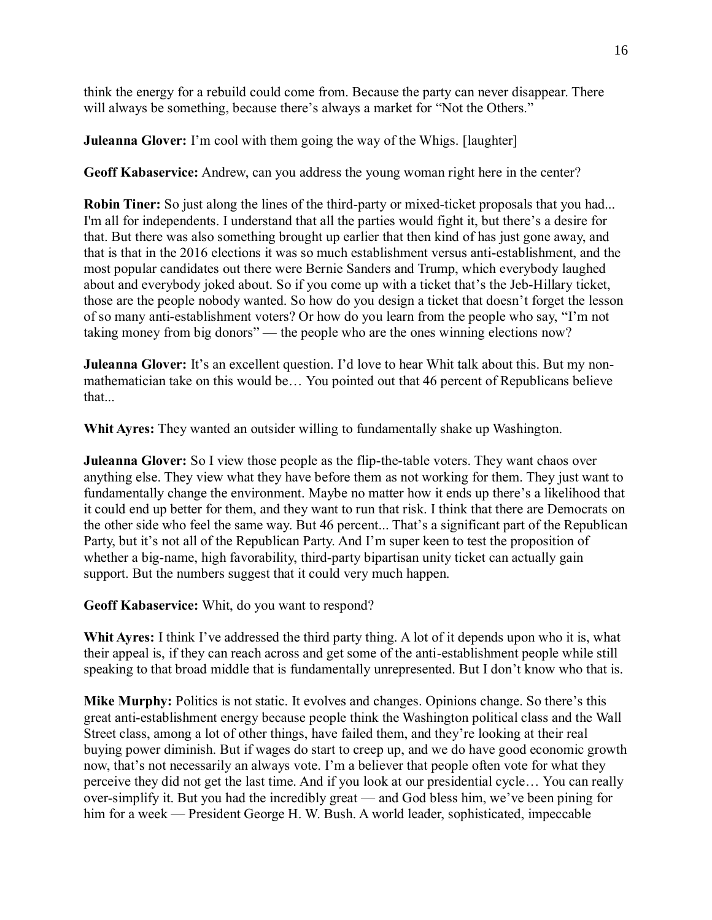think the energy for a rebuild could come from. Because the party can never disappear. There will always be something, because there's always a market for "Not the Others."

**Juleanna Glover:** I'm cool with them going the way of the Whigs. [laughter]

**Geoff Kabaservice:** Andrew, can you address the young woman right here in the center?

**Robin Tiner:** So just along the lines of the third-party or mixed-ticket proposals that you had... I'm all for independents. I understand that all the parties would fight it, but there's a desire for that. But there was also something brought up earlier that then kind of has just gone away, and that is that in the 2016 elections it was so much establishment versus anti-establishment, and the most popular candidates out there were Bernie Sanders and Trump, which everybody laughed about and everybody joked about. So if you come up with a ticket that's the Jeb-Hillary ticket, those are the people nobody wanted. So how do you design a ticket that doesn't forget the lesson of so many anti-establishment voters? Or how do you learn from the people who say, "I'm not taking money from big donors" — the people who are the ones winning elections now?

**Juleanna Glover:** It's an excellent question. I'd love to hear Whit talk about this. But my nonmathematician take on this would be… You pointed out that 46 percent of Republicans believe that...

**Whit Ayres:** They wanted an outsider willing to fundamentally shake up Washington.

**Juleanna Glover:** So I view those people as the flip-the-table voters. They want chaos over anything else. They view what they have before them as not working for them. They just want to fundamentally change the environment. Maybe no matter how it ends up there's a likelihood that it could end up better for them, and they want to run that risk. I think that there are Democrats on the other side who feel the same way. But 46 percent... That's a significant part of the Republican Party, but it's not all of the Republican Party. And I'm super keen to test the proposition of whether a big-name, high favorability, third-party bipartisan unity ticket can actually gain support. But the numbers suggest that it could very much happen.

**Geoff Kabaservice:** Whit, do you want to respond?

**Whit Ayres:** I think I've addressed the third party thing. A lot of it depends upon who it is, what their appeal is, if they can reach across and get some of the anti-establishment people while still speaking to that broad middle that is fundamentally unrepresented. But I don't know who that is.

**Mike Murphy:** Politics is not static. It evolves and changes. Opinions change. So there's this great anti-establishment energy because people think the Washington political class and the Wall Street class, among a lot of other things, have failed them, and they're looking at their real buying power diminish. But if wages do start to creep up, and we do have good economic growth now, that's not necessarily an always vote. I'm a believer that people often vote for what they perceive they did not get the last time. And if you look at our presidential cycle… You can really over-simplify it. But you had the incredibly great — and God bless him, we've been pining for him for a week — President George H. W. Bush. A world leader, sophisticated, impeccable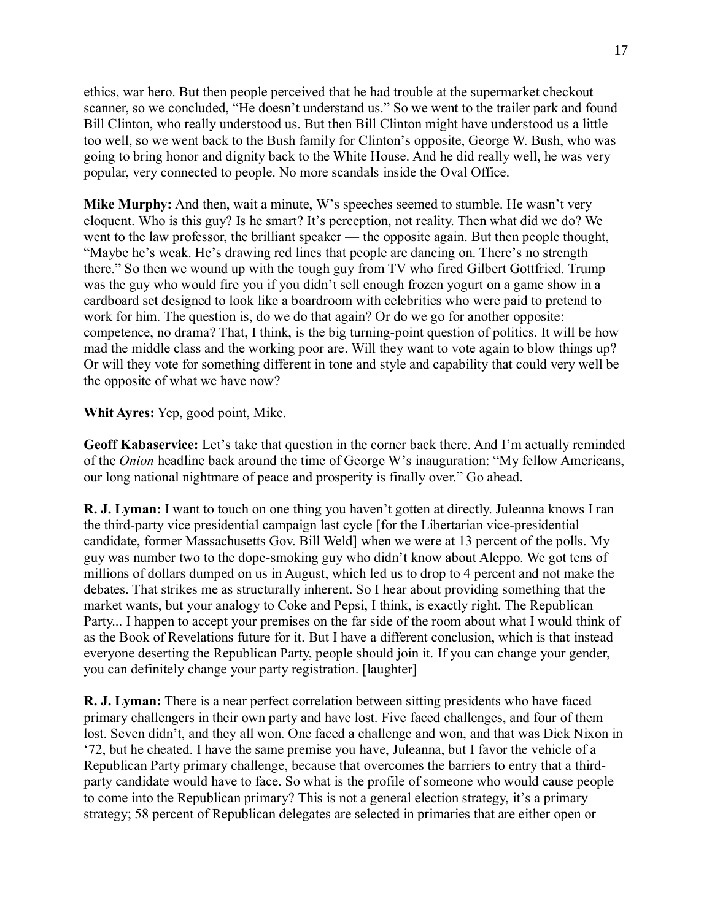ethics, war hero. But then people perceived that he had trouble at the supermarket checkout scanner, so we concluded, "He doesn't understand us." So we went to the trailer park and found Bill Clinton, who really understood us. But then Bill Clinton might have understood us a little too well, so we went back to the Bush family for Clinton's opposite, George W. Bush, who was going to bring honor and dignity back to the White House. And he did really well, he was very popular, very connected to people. No more scandals inside the Oval Office.

**Mike Murphy:** And then, wait a minute, W's speeches seemed to stumble. He wasn't very eloquent. Who is this guy? Is he smart? It's perception, not reality. Then what did we do? We went to the law professor, the brilliant speaker — the opposite again. But then people thought, "Maybe he's weak. He's drawing red lines that people are dancing on. There's no strength there." So then we wound up with the tough guy from TV who fired Gilbert Gottfried. Trump was the guy who would fire you if you didn't sell enough frozen yogurt on a game show in a cardboard set designed to look like a boardroom with celebrities who were paid to pretend to work for him. The question is, do we do that again? Or do we go for another opposite: competence, no drama? That, I think, is the big turning-point question of politics. It will be how mad the middle class and the working poor are. Will they want to vote again to blow things up? Or will they vote for something different in tone and style and capability that could very well be the opposite of what we have now?

### **Whit Ayres:** Yep, good point, Mike.

**Geoff Kabaservice:** Let's take that question in the corner back there. And I'm actually reminded of the *Onion* headline back around the time of George W's inauguration: "My fellow Americans, our long national nightmare of peace and prosperity is finally over." Go ahead.

**R. J. Lyman:** I want to touch on one thing you haven't gotten at directly. Juleanna knows I ran the third-party vice presidential campaign last cycle [for the Libertarian vice-presidential candidate, former Massachusetts Gov. Bill Weld] when we were at 13 percent of the polls. My guy was number two to the dope-smoking guy who didn't know about Aleppo. We got tens of millions of dollars dumped on us in August, which led us to drop to 4 percent and not make the debates. That strikes me as structurally inherent. So I hear about providing something that the market wants, but your analogy to Coke and Pepsi, I think, is exactly right. The Republican Party... I happen to accept your premises on the far side of the room about what I would think of as the Book of Revelations future for it. But I have a different conclusion, which is that instead everyone deserting the Republican Party, people should join it. If you can change your gender, you can definitely change your party registration. [laughter]

**R. J. Lyman:** There is a near perfect correlation between sitting presidents who have faced primary challengers in their own party and have lost. Five faced challenges, and four of them lost. Seven didn't, and they all won. One faced a challenge and won, and that was Dick Nixon in '72, but he cheated. I have the same premise you have, Juleanna, but I favor the vehicle of a Republican Party primary challenge, because that overcomes the barriers to entry that a thirdparty candidate would have to face. So what is the profile of someone who would cause people to come into the Republican primary? This is not a general election strategy, it's a primary strategy; 58 percent of Republican delegates are selected in primaries that are either open or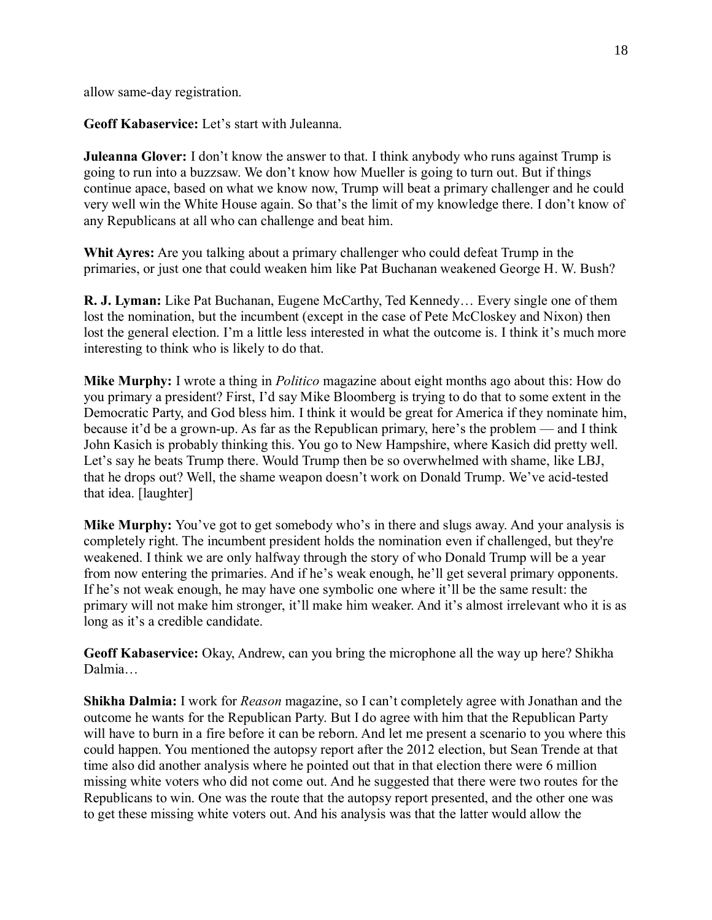allow same-day registration.

**Geoff Kabaservice:** Let's start with Juleanna.

**Juleanna Glover:** I don't know the answer to that. I think anybody who runs against Trump is going to run into a buzzsaw. We don't know how Mueller is going to turn out. But if things continue apace, based on what we know now, Trump will beat a primary challenger and he could very well win the White House again. So that's the limit of my knowledge there. I don't know of any Republicans at all who can challenge and beat him.

**Whit Ayres:** Are you talking about a primary challenger who could defeat Trump in the primaries, or just one that could weaken him like Pat Buchanan weakened George H. W. Bush?

**R. J. Lyman:** Like Pat Buchanan, Eugene McCarthy, Ted Kennedy… Every single one of them lost the nomination, but the incumbent (except in the case of Pete McCloskey and Nixon) then lost the general election. I'm a little less interested in what the outcome is. I think it's much more interesting to think who is likely to do that.

**Mike Murphy:** I wrote a thing in *Politico* magazine about eight months ago about this: How do you primary a president? First, I'd say Mike Bloomberg is trying to do that to some extent in the Democratic Party, and God bless him. I think it would be great for America if they nominate him, because it'd be a grown-up. As far as the Republican primary, here's the problem — and I think John Kasich is probably thinking this. You go to New Hampshire, where Kasich did pretty well. Let's say he beats Trump there. Would Trump then be so overwhelmed with shame, like LBJ, that he drops out? Well, the shame weapon doesn't work on Donald Trump. We've acid-tested that idea. [laughter]

**Mike Murphy:** You've got to get somebody who's in there and slugs away. And your analysis is completely right. The incumbent president holds the nomination even if challenged, but they're weakened. I think we are only halfway through the story of who Donald Trump will be a year from now entering the primaries. And if he's weak enough, he'll get several primary opponents. If he's not weak enough, he may have one symbolic one where it'll be the same result: the primary will not make him stronger, it'll make him weaker. And it's almost irrelevant who it is as long as it's a credible candidate.

**Geoff Kabaservice:** Okay, Andrew, can you bring the microphone all the way up here? Shikha Dalmia…

**Shikha Dalmia:** I work for *Reason* magazine, so I can't completely agree with Jonathan and the outcome he wants for the Republican Party. But I do agree with him that the Republican Party will have to burn in a fire before it can be reborn. And let me present a scenario to you where this could happen. You mentioned the autopsy report after the 2012 election, but Sean Trende at that time also did another analysis where he pointed out that in that election there were 6 million missing white voters who did not come out. And he suggested that there were two routes for the Republicans to win. One was the route that the autopsy report presented, and the other one was to get these missing white voters out. And his analysis was that the latter would allow the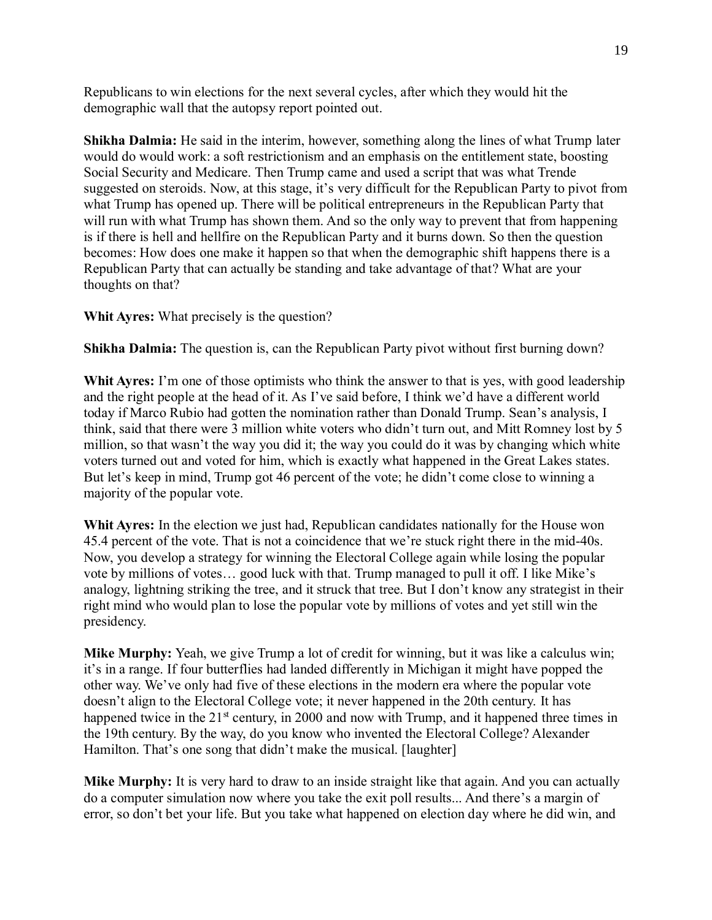Republicans to win elections for the next several cycles, after which they would hit the demographic wall that the autopsy report pointed out.

**Shikha Dalmia:** He said in the interim, however, something along the lines of what Trump later would do would work: a soft restrictionism and an emphasis on the entitlement state, boosting Social Security and Medicare. Then Trump came and used a script that was what Trende suggested on steroids. Now, at this stage, it's very difficult for the Republican Party to pivot from what Trump has opened up. There will be political entrepreneurs in the Republican Party that will run with what Trump has shown them. And so the only way to prevent that from happening is if there is hell and hellfire on the Republican Party and it burns down. So then the question becomes: How does one make it happen so that when the demographic shift happens there is a Republican Party that can actually be standing and take advantage of that? What are your thoughts on that?

**Whit Ayres:** What precisely is the question?

**Shikha Dalmia:** The question is, can the Republican Party pivot without first burning down?

Whit Ayres: I'm one of those optimists who think the answer to that is yes, with good leadership and the right people at the head of it. As I've said before, I think we'd have a different world today if Marco Rubio had gotten the nomination rather than Donald Trump. Sean's analysis, I think, said that there were 3 million white voters who didn't turn out, and Mitt Romney lost by 5 million, so that wasn't the way you did it; the way you could do it was by changing which white voters turned out and voted for him, which is exactly what happened in the Great Lakes states. But let's keep in mind, Trump got 46 percent of the vote; he didn't come close to winning a majority of the popular vote.

**Whit Ayres:** In the election we just had, Republican candidates nationally for the House won 45.4 percent of the vote. That is not a coincidence that we're stuck right there in the mid-40s. Now, you develop a strategy for winning the Electoral College again while losing the popular vote by millions of votes… good luck with that. Trump managed to pull it off. I like Mike's analogy, lightning striking the tree, and it struck that tree. But I don't know any strategist in their right mind who would plan to lose the popular vote by millions of votes and yet still win the presidency.

**Mike Murphy:** Yeah, we give Trump a lot of credit for winning, but it was like a calculus win; it's in a range. If four butterflies had landed differently in Michigan it might have popped the other way. We've only had five of these elections in the modern era where the popular vote doesn't align to the Electoral College vote; it never happened in the 20th century. It has happened twice in the 21<sup>st</sup> century, in 2000 and now with Trump, and it happened three times in the 19th century. By the way, do you know who invented the Electoral College? Alexander Hamilton. That's one song that didn't make the musical. [laughter]

**Mike Murphy:** It is very hard to draw to an inside straight like that again. And you can actually do a computer simulation now where you take the exit poll results... And there's a margin of error, so don't bet your life. But you take what happened on election day where he did win, and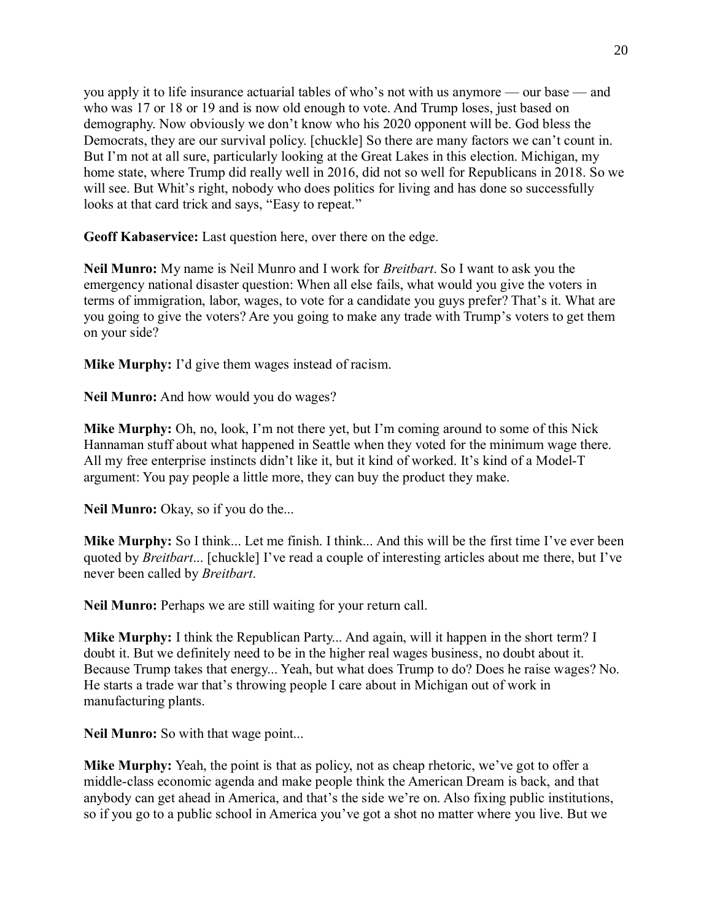you apply it to life insurance actuarial tables of who's not with us anymore — our base — and who was 17 or 18 or 19 and is now old enough to vote. And Trump loses, just based on demography. Now obviously we don't know who his 2020 opponent will be. God bless the Democrats, they are our survival policy. [chuckle] So there are many factors we can't count in. But I'm not at all sure, particularly looking at the Great Lakes in this election. Michigan, my home state, where Trump did really well in 2016, did not so well for Republicans in 2018. So we will see. But Whit's right, nobody who does politics for living and has done so successfully looks at that card trick and says, "Easy to repeat."

**Geoff Kabaservice:** Last question here, over there on the edge.

**Neil Munro:** My name is Neil Munro and I work for *Breitbart*. So I want to ask you the emergency national disaster question: When all else fails, what would you give the voters in terms of immigration, labor, wages, to vote for a candidate you guys prefer? That's it. What are you going to give the voters? Are you going to make any trade with Trump's voters to get them on your side?

**Mike Murphy:** I'd give them wages instead of racism.

**Neil Munro:** And how would you do wages?

**Mike Murphy:** Oh, no, look, I'm not there yet, but I'm coming around to some of this Nick Hannaman stuff about what happened in Seattle when they voted for the minimum wage there. All my free enterprise instincts didn't like it, but it kind of worked. It's kind of a Model-T argument: You pay people a little more, they can buy the product they make.

**Neil Munro:** Okay, so if you do the...

**Mike Murphy:** So I think... Let me finish. I think... And this will be the first time I've ever been quoted by *Breitbart*... [chuckle] I've read a couple of interesting articles about me there, but I've never been called by *Breitbart*.

**Neil Munro:** Perhaps we are still waiting for your return call.

**Mike Murphy:** I think the Republican Party... And again, will it happen in the short term? I doubt it. But we definitely need to be in the higher real wages business, no doubt about it. Because Trump takes that energy... Yeah, but what does Trump to do? Does he raise wages? No. He starts a trade war that's throwing people I care about in Michigan out of work in manufacturing plants.

**Neil Munro:** So with that wage point...

**Mike Murphy:** Yeah, the point is that as policy, not as cheap rhetoric, we've got to offer a middle-class economic agenda and make people think the American Dream is back, and that anybody can get ahead in America, and that's the side we're on. Also fixing public institutions, so if you go to a public school in America you've got a shot no matter where you live. But we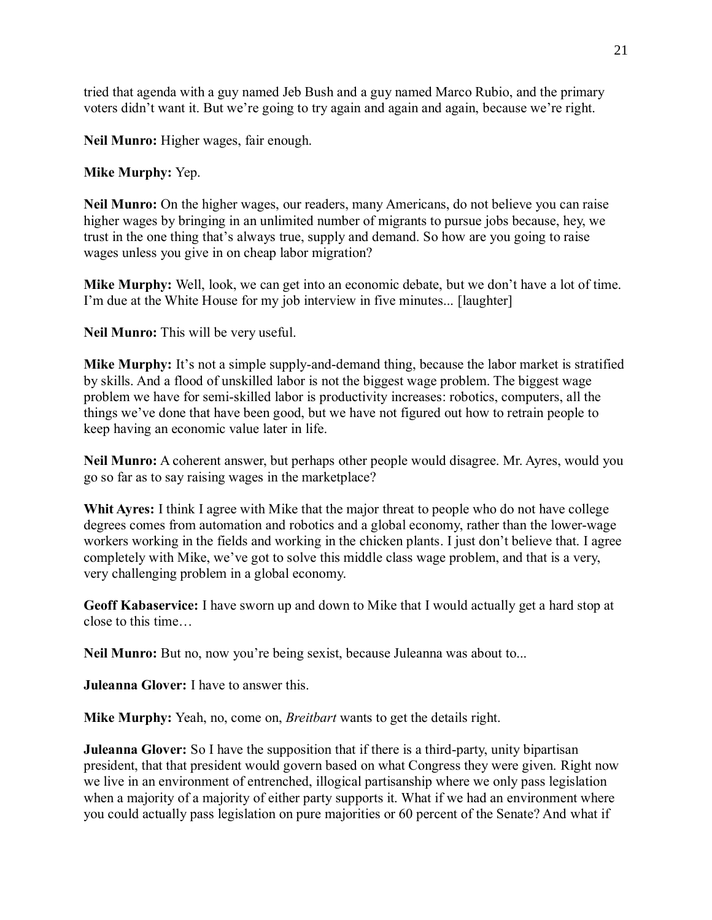tried that agenda with a guy named Jeb Bush and a guy named Marco Rubio, and the primary voters didn't want it. But we're going to try again and again and again, because we're right.

**Neil Munro:** Higher wages, fair enough.

# **Mike Murphy:** Yep.

**Neil Munro:** On the higher wages, our readers, many Americans, do not believe you can raise higher wages by bringing in an unlimited number of migrants to pursue jobs because, hey, we trust in the one thing that's always true, supply and demand. So how are you going to raise wages unless you give in on cheap labor migration?

**Mike Murphy:** Well, look, we can get into an economic debate, but we don't have a lot of time. I'm due at the White House for my job interview in five minutes... [laughter]

**Neil Munro:** This will be very useful.

**Mike Murphy:** It's not a simple supply-and-demand thing, because the labor market is stratified by skills. And a flood of unskilled labor is not the biggest wage problem. The biggest wage problem we have for semi-skilled labor is productivity increases: robotics, computers, all the things we've done that have been good, but we have not figured out how to retrain people to keep having an economic value later in life.

**Neil Munro:** A coherent answer, but perhaps other people would disagree. Mr. Ayres, would you go so far as to say raising wages in the marketplace?

**Whit Ayres:** I think I agree with Mike that the major threat to people who do not have college degrees comes from automation and robotics and a global economy, rather than the lower-wage workers working in the fields and working in the chicken plants. I just don't believe that. I agree completely with Mike, we've got to solve this middle class wage problem, and that is a very, very challenging problem in a global economy.

**Geoff Kabaservice:** I have sworn up and down to Mike that I would actually get a hard stop at close to this time…

**Neil Munro:** But no, now you're being sexist, because Juleanna was about to...

**Juleanna Glover:** I have to answer this.

**Mike Murphy:** Yeah, no, come on, *Breitbart* wants to get the details right.

**Juleanna Glover:** So I have the supposition that if there is a third-party, unity bipartisan president, that that president would govern based on what Congress they were given. Right now we live in an environment of entrenched, illogical partisanship where we only pass legislation when a majority of a majority of either party supports it. What if we had an environment where you could actually pass legislation on pure majorities or 60 percent of the Senate? And what if